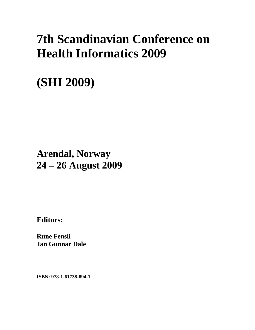# **7th Scandinavian Conference on Health Informatics 2009**

# **(SHI 2009)**

## **Arendal, Norway 24 – 26 August 2009**

**Editors:** 

**Rune Fensli Jan Gunnar Dale** 

**ISBN: 978-1-61738-894-1**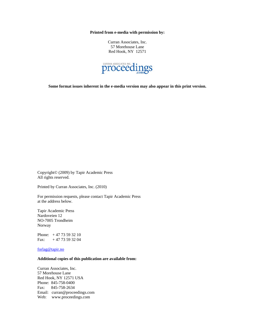**Printed from e-media with permission by:** 

Curran Associates, Inc. 57 Morehouse Lane Red Hook, NY 12571



**Some format issues inherent in the e-media version may also appear in this print version.** 

Copyright© (2009) by Tapir Academic Press All rights reserved.

Printed by Curran Associates, Inc. (2010)

For permission requests, please contact Tapir Academic Press at the address below.

Tapir Academic Press Nardoveien 12 NO-7005 Trondheim Norway

Phone: + 47 73 59 32 10 Fax:  $+4773593204$ 

forlag@tapir.no

#### **Additional copies of this publication are available from:**

Curran Associates, Inc. 57 Morehouse Lane Red Hook, NY 12571 USA Phone: 845-758-0400 Fax: 845-758-2634 Email: curran@proceedings.com Web: www.proceedings.com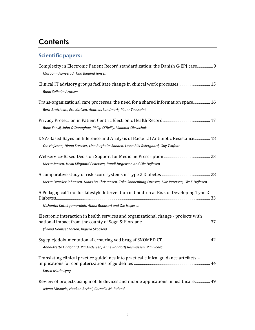## **Contents**

### **Scientific papers:**

| Complexity in Electronic Patient Record standardization: the Danish G-EPJ case9<br>Margunn Aanestad, Tina Blegind Jensen                                                |
|-------------------------------------------------------------------------------------------------------------------------------------------------------------------------|
| Clinical IT advisory groups facilitate change in clinical work processes 15<br>Runa Solheim Arntsen                                                                     |
| Trans-organizational care processes: the need for a shared information space 16<br>Berit Brattheim, Ero Karlsen, Andreas Landmark, Pieter Toussaint                     |
| Rune Fensli, John O'Donoghue, Philip O'Reilly, Vladimir Oleshchuk                                                                                                       |
| DNA-Based Bayesian Inference and Analysis of Bacterial Antibiotic Resistance 18<br>Ole Hejlesen, Ninna Kæseler, Line Rugholm Sanden, Lasse Riis Østergaard, Guy Tsafnat |
| Mette Jensen, Heidi Klitgaard Pedersen, Randi Jørgensen and Ole Hejlesen                                                                                                |
| Mette Dencker Johansen, Mads Bo Christensen, Toke Sonnenburg Ottesen, Sille Petersen, Ole K Hejlesen                                                                    |
| A Pedagogical Tool for Lifestyle Intervention in Children at Risk of Developing Type 2<br>Nishanthi Kathirgamarajah, Abdul Roudsari and Ole Hejlesen                    |
| Electronic interaction in health services and organizational change - projects with<br>Øyvind Heimset Larsen, Ingjerd Skogseid                                          |
| Anne-Mette Lindgaard, Pia Andersen, Anne Randorff Rasmussen, Pia Elberg                                                                                                 |
| Translating clinical practice guidelines into practical clinical guidance artefacts -<br>Karen Marie Lyng                                                               |
| Review of projects using mobile devices and mobile applications in healthcare  49<br>Jelena Mirkovic, Haakon Bryhni, Cornelia M. Ruland                                 |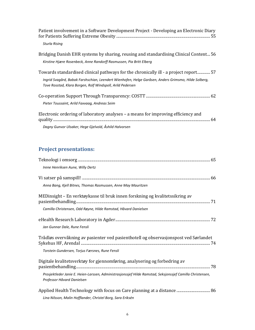| Patient involvement in a Software Development Project - Developing an Electronic Diary                                                                                                                                                                     |
|------------------------------------------------------------------------------------------------------------------------------------------------------------------------------------------------------------------------------------------------------------|
| Sturla Rising                                                                                                                                                                                                                                              |
| Bridging Danish EHR systems by sharing, reusing and standardising Clinical Content 56<br>Kirstine Hjære Rosenbeck, Anne Randorff Rasmussen, Pia Britt Elberg                                                                                               |
| Towards standardised clinical pathways for the chronically ill - a project report 57<br>Ingrid Svagård, Babak Farshschian, Leendert Wienhofen, Helge Garåsen, Anders Grimsmo, Hilde Solberg,<br>Tove Rosstad, Klara Borgen, Rolf Windspoll, Arild Pedersen |
| Pieter Toussaint, Arild Faxvaaq, Andreas Seim                                                                                                                                                                                                              |
| Electronic ordering of laboratory analyses – a means for improving efficiency and                                                                                                                                                                          |
| Dagny Gunvor Ulsaker, Hege Gjelvold, Åshild Halvorsen                                                                                                                                                                                                      |

#### **Project presentations:**

| Irene Henriksen Aune, Willy Dertz                                                                                                                                                       |
|-----------------------------------------------------------------------------------------------------------------------------------------------------------------------------------------|
| Anna Bang, Kjell Bitnes, Thomas Rasmussen, Anne May Mauritzen                                                                                                                           |
| MEDinsight – En verktøykasse til bruk innen forskning og kvalitetssikring av                                                                                                            |
| Camilla Christensen, Odd Røyne, Hilde Ramstad, Håvard Danielsen                                                                                                                         |
| Jan Gunnar Dale, Rune Fensli                                                                                                                                                            |
| Trådløs overvåkning av pasienter ved pasienthotell og observasjonspost ved Sørlandet<br>Torstein Gundersen, Torjus Færsnes, Rune Fensli                                                 |
| Digitale kvalitetsverktøy for gjennomføring, analysering og forbedring av<br>Prosjektleder Janie E. Heien-Larssen, Administrasjonssjef Hilde Ramstad, Seksjonssjef Camilla Christensen, |
| Professor Håvard Danielsen                                                                                                                                                              |
| Applied Health Technology with focus on Care planning at a distance  86<br>Lina Nilsson, Malin Hofflander, Christel Borg, Sara Eriksén                                                  |